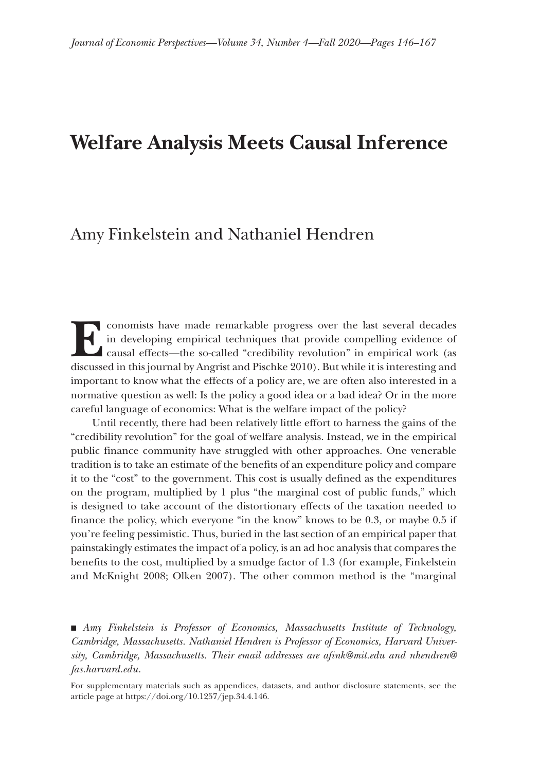# **Welfare Analysis Meets Causal Inference**

## Amy Finkelstein and Nathaniel Hendren

conomists have made remarkable progress over the last several decades<br>in developing empirical techniques that provide compelling evidence of<br>causal effects—the so-called "credibility revolution" in empirical work (as<br>discu in developing empirical techniques that provide compelling evidence of causal effects—the so-called "credibility revolution" in empirical work (as discussed in this journal by Angrist and Pischke 2010). But while it is interesting and important to know what the effects of a policy are, we are often also interested in a normative question as well: Is the policy a good idea or a bad idea? Or in the more careful language of economics: What is the welfare impact of the policy?

Until recently, there had been relatively little effort to harness the gains of the "credibility revolution" for the goal of welfare analysis. Instead, we in the empirical public finance community have struggled with other approaches. One venerable tradition is to take an estimate of the benefits of an expenditure policy and compare it to the "cost" to the government. This cost is usually defined as the expenditures on the program, multiplied by 1 plus "the marginal cost of public funds," which is designed to take account of the distortionary effects of the taxation needed to finance the policy, which everyone "in the know" knows to be 0.3, or maybe 0.5 if you're feeling pessimistic. Thus, buried in the last section of an empirical paper that painstakingly estimates the impact of a policy, is an ad hoc analysis that compares the benefits to the cost, multiplied by a smudge factor of 1.3 (for example, Finkelstein and McKnight 2008; Olken 2007). The other common method is the "marginal

■ *Amy Finkelstein is Professor of Economics, Massachusetts Institute of Technology, Cambridge, Massachusetts. Nathaniel Hendren is Professor of Economics, Harvard University, Cambridge, Massachusetts. Their email addresses are [afink@mit.edu](mailto:afink@mit.edu) and [nhendren@](mailto:nhendren@fas.harvard.edu) [fas.harvard.edu.](mailto:nhendren@fas.harvard.edu)*

For supplementary materials such as appendices, datasets, and author disclosure statements, see the article page at https://doi.org/10.1257/jep.34.4.146.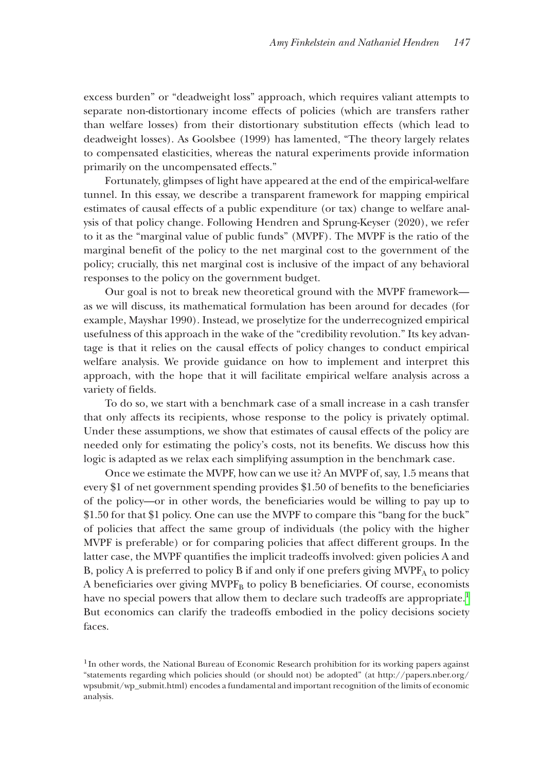excess burden" or "deadweight loss" approach, which requires valiant attempts to separate non-distortionary income effects of policies (which are transfers rather than welfare losses) from their distortionary substitution effects (which lead to deadweight losses). As Goolsbee (1999) has lamented, "The theory largely relates to compensated elasticities, whereas the natural experiments provide information primarily on the uncompensated effects."

Fortunately, glimpses of light have appeared at the end of the empirical-welfare tunnel. In this essay, we describe a transparent framework for mapping empirical estimates of causal effects of a public expenditure (or tax) change to welfare analysis of that policy change. Following Hendren and Sprung-Keyser (2020), we refer to it as the "marginal value of public funds" (MVPF). The MVPF is the ratio of the marginal benefit of the policy to the net marginal cost to the government of the policy; crucially, this net marginal cost is inclusive of the impact of any behavioral responses to the policy on the government budget.

Our goal is not to break new theoretical ground with the MVPF framework as we will discuss, its mathematical formulation has been around for decades (for example, Mayshar 1990). Instead, we proselytize for the underrecognized empirical usefulness of this approach in the wake of the "credibility revolution." Its key advantage is that it relies on the causal effects of policy changes to conduct empirical welfare analysis. We provide guidance on how to implement and interpret this approach, with the hope that it will facilitate empirical welfare analysis across a variety of fields.

To do so, we start with a benchmark case of a small increase in a cash transfer that only affects its recipients, whose response to the policy is privately optimal. Under these assumptions, we show that estimates of causal effects of the policy are needed only for estimating the policy's costs, not its benefits. We discuss how this logic is adapted as we relax each simplifying assumption in the benchmark case.

Once we estimate the MVPF, how can we use it? An MVPF of, say, 1.5 means that every \$1 of net government spending provides \$1.50 of benefits to the beneficiaries of the policy—or in other words, the beneficiaries would be willing to pay up to \$1.50 for that \$1 policy. One can use the MVPF to compare this "bang for the buck" of policies that affect the same group of individuals (the policy with the higher MVPF is preferable) or for comparing policies that affect different groups. In the latter case, the MVPF quantifies the implicit tradeoffs involved: given policies A and B, policy A is preferred to policy B if and only if one prefers giving  $MVPF_A$  to policy A beneficiaries over giving MVPF<sub>B</sub> to policy B beneficiaries. Of course, economists have no special powers that allow them to declare such tradeoffs are appropriate.<sup>1</sup> But economics can clarify the tradeoffs embodied in the policy decisions society faces.

<span id="page-1-0"></span><sup>&</sup>lt;sup>1</sup>In other words, the National Bureau of Economic Research prohibition for its working papers against "statements regarding which policies should (or should not) be adopted" (at [http://papers.nber.org/](http://papers.nber.org/wpsubmit/wp_submit.html) [wpsubmit/wp\\_submit.html](http://papers.nber.org/wpsubmit/wp_submit.html)) encodes a fundamental and important recognition of the limits of economic analysis.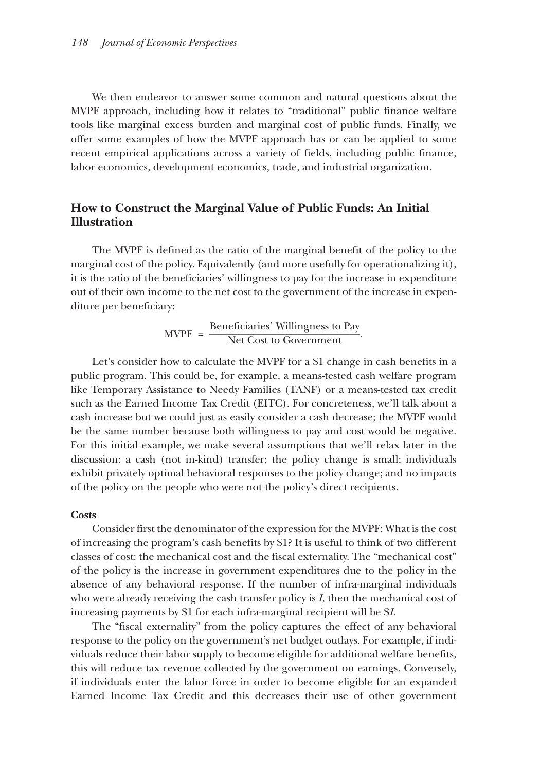We then endeavor to answer some common and natural questions about the MVPF approach, including how it relates to "traditional" public finance welfare tools like marginal excess burden and marginal cost of public funds. Finally, we offer some examples of how the MVPF approach has or can be applied to some recent empirical applications across a variety of fields, including public finance, labor economics, development economics, trade, and industrial organization.

### **How to Construct the Marginal Value of Public Funds: An Initial Illustration**

The MVPF is defined as the ratio of the marginal benefit of the policy to the marginal cost of the policy. Equivalently (and more usefully for operationalizing it), it is the ratio of the beneficiaries' willingness to pay for the increase in expenditure out of their own income to the net cost to the government of the increase in expenditure per beneficiary:<br>  $MVPF = \frac{Beneficiaries' Williamsness to Pay}{Net Cost to Government}.$ diture per beneficiary:

$$
MVPF = \frac{Beneficiaries' Williamsness\ to\ Pay}{Net Cost\ to\ Government}
$$

Let's consider how to calculate the MVPF for a \$1 change in cash benefits in a public program. This could be, for example, a means-tested cash welfare program like Temporary Assistance to Needy Families (TANF) or a means-tested tax credit such as the Earned Income Tax Credit (EITC). For concreteness, we'll talk about a cash increase but we could just as easily consider a cash decrease; the MVPF would be the same number because both willingness to pay and cost would be negative. For this initial example, we make several assumptions that we'll relax later in the discussion: a cash (not in-kind) transfer; the policy change is small; individuals exhibit privately optimal behavioral responses to the policy change; and no impacts of the policy on the people who were not the policy's direct recipients.

#### **Costs**

Consider first the denominator of the expression for the MVPF: What is the cost of increasing the program's cash benefits by \$1? It is useful to think of two different classes of cost: the mechanical cost and the fiscal externality. The "mechanical cost" of the policy is the increase in government expenditures due to the policy in the absence of any behavioral response. If the number of infra-marginal individuals who were already receiving the cash transfer policy is *I*, then the mechanical cost of increasing payments by \$1 for each infra-marginal recipient will be \$*I*.

The "fiscal externality" from the policy captures the effect of any behavioral response to the policy on the government's net budget outlays. For example, if individuals reduce their labor supply to become eligible for additional welfare benefits, this will reduce tax revenue collected by the government on earnings. Conversely, if individuals enter the labor force in order to become eligible for an expanded Earned Income Tax Credit and this decreases their use of other government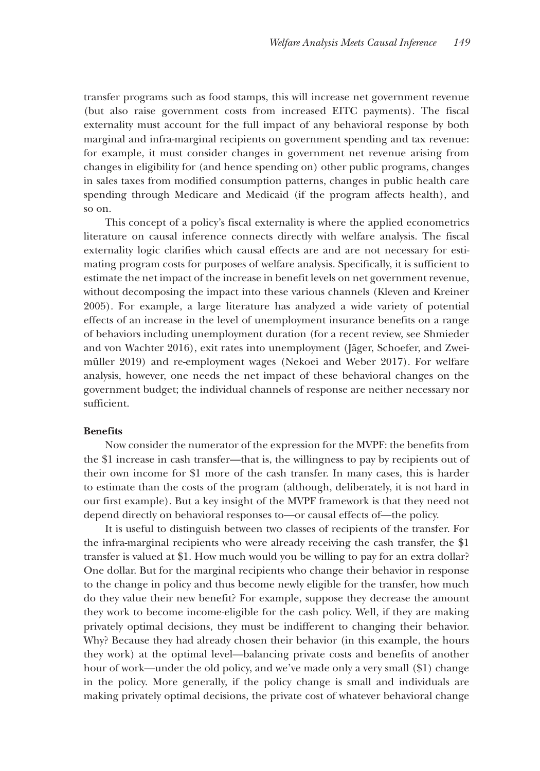transfer programs such as food stamps, this will increase net government revenue (but also raise government costs from increased EITC payments). The fiscal externality must account for the full impact of any behavioral response by both marginal and infra-marginal recipients on government spending and tax revenue: for example, it must consider changes in government net revenue arising from changes in eligibility for (and hence spending on) other public programs, changes in sales taxes from modified consumption patterns, changes in public health care spending through Medicare and Medicaid (if the program affects health), and so on.

This concept of a policy's fiscal externality is where the applied econometrics literature on causal inference connects directly with welfare analysis. The fiscal externality logic clarifies which causal effects are and are not necessary for estimating program costs for purposes of welfare analysis. Specifically, it is sufficient to estimate the net impact of the increase in benefit levels on net government revenue, without decomposing the impact into these various channels (Kleven and Kreiner 2005). For example, a large literature has analyzed a wide variety of potential effects of an increase in the level of unemployment insurance benefits on a range of behaviors including unemployment duration (for a recent review, see Shmieder and von Wachter 2016), exit rates into unemployment (Jäger, Schoefer, and Zweimüller 2019) and re-employment wages (Nekoei and Weber 2017). For welfare analysis, however, one needs the net impact of these behavioral changes on the government budget; the individual channels of response are neither necessary nor sufficient.

### **Benefits**

Now consider the numerator of the expression for the MVPF: the benefits from the \$1 increase in cash transfer—that is, the willingness to pay by recipients out of their own income for \$1 more of the cash transfer. In many cases, this is harder to estimate than the costs of the program (although, deliberately, it is not hard in our first example). But a key insight of the MVPF framework is that they need not depend directly on behavioral responses to—or causal effects of—the policy.

It is useful to distinguish between two classes of recipients of the transfer. For the infra-marginal recipients who were already receiving the cash transfer, the \$1 transfer is valued at \$1. How much would you be willing to pay for an extra dollar? One dollar. But for the marginal recipients who change their behavior in response to the change in policy and thus become newly eligible for the transfer, how much do they value their new benefit? For example, suppose they decrease the amount they work to become income-eligible for the cash policy. Well, if they are making privately optimal decisions, they must be indifferent to changing their behavior. Why? Because they had already chosen their behavior (in this example, the hours they work) at the optimal level—balancing private costs and benefits of another hour of work—under the old policy, and we've made only a very small (\$1) change in the policy. More generally, if the policy change is small and individuals are making privately optimal decisions, the private cost of whatever behavioral change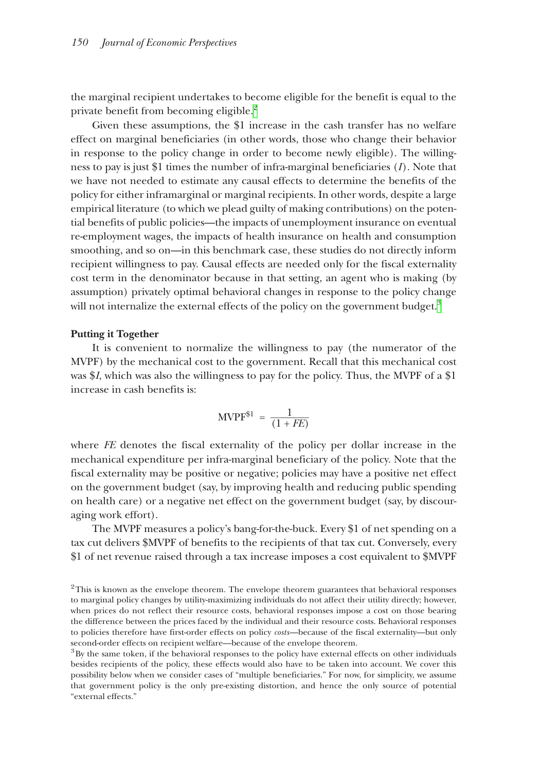the marginal recipient undertakes to become eligible for the benefit is equal to the private benefit from becoming eligible.<sup>2</sup>

Given these assumptions, the \$1 increase in the cash transfer has no welfare effect on marginal beneficiaries (in other words, those who change their behavior in response to the policy change in order to become newly eligible). The willingness to pay is just \$1 times the number of infra-marginal beneficiaries (*I*). Note that we have not needed to estimate any causal effects to determine the benefits of the policy for either inframarginal or marginal recipients. In other words, despite a large empirical literature (to which we plead guilty of making contributions) on the potential benefits of public policies—the impacts of unemployment insurance on eventual re-employment wages, the impacts of health insurance on health and consumption smoothing, and so on—in this benchmark case, these studies do not directly inform recipient willingness to pay. Causal effects are needed only for the fiscal externality cost term in the denominator because in that setting, an agent who is making (by assumption) privately optimal behavioral changes in response to the policy change will not internalize the external effects of the policy on the government budget.<sup>[3](#page-4-1)</sup>

#### **Putting it Together**

It is convenient to normalize the willingness to pay (the numerator of the MVPF) by the mechanical cost to the government. Recall that this mechanical cost was \$*I*, which was also the willingness to pay for the policy. Thus, the MVPF of a \$1 increase in cash benefits is:

$$
\text{MVPF}^{\$1} = \frac{1}{(1 + FE)}
$$

where *FE* denotes the fiscal externality of the policy per dollar increase in the mechanical expenditure per infra-marginal beneficiary of the policy. Note that the fiscal externality may be positive or negative; policies may have a positive net effect on the government budget (say, by improving health and reducing public spending on health care) or a negative net effect on the government budget (say, by discouraging work effort).

The MVPF measures a policy's bang-for-the-buck. Every \$1 of net spending on a tax cut delivers \$MVPF of benefits to the recipients of that tax cut. Conversely, every \$1 of net revenue raised through a tax increase imposes a cost equivalent to \$MVPF

<span id="page-4-0"></span><sup>&</sup>lt;sup>2</sup>This is known as the envelope theorem. The envelope theorem guarantees that behavioral responses to marginal policy changes by utility-maximizing individuals do not affect their utility directly; however, when prices do not reflect their resource costs, behavioral responses impose a cost on those bearing the difference between the prices faced by the individual and their resource costs. Behavioral responses to policies therefore have first-order effects on policy *costs*—because of the fiscal externality—but only second-order effects on recipient welfare––because of the envelope theorem.

<span id="page-4-1"></span><sup>&</sup>lt;sup>3</sup>By the same token, if the behavioral responses to the policy have external effects on other individuals besides recipients of the policy, these effects would also have to be taken into account. We cover this possibility below when we consider cases of "multiple beneficiaries." For now, for simplicity, we assume that government policy is the only pre-existing distortion, and hence the only source of potential "external effects."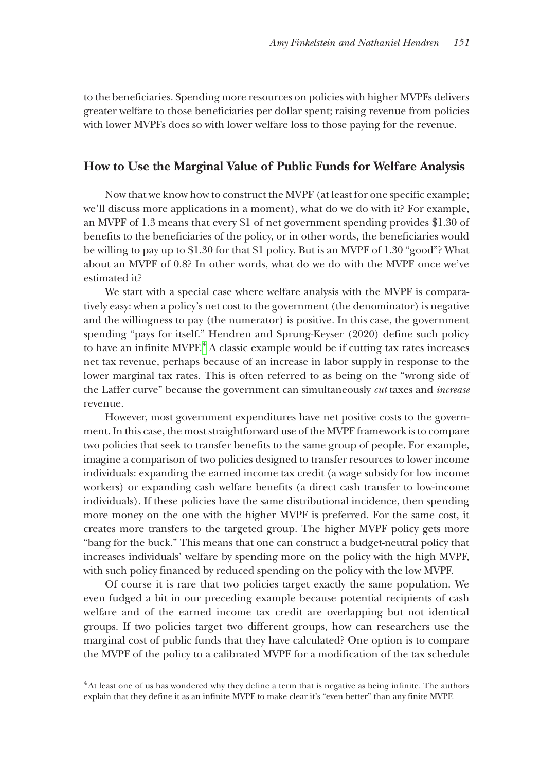to the beneficiaries. Spending more resources on policies with higher MVPFs delivers greater welfare to those beneficiaries per dollar spent; raising revenue from policies with lower MVPFs does so with lower welfare loss to those paying for the revenue.

### **How to Use the Marginal Value of Public Funds for Welfare Analysis**

Now that we know how to construct the MVPF (at least for one specific example; we'll discuss more applications in a moment), what do we do with it? For example, an MVPF of 1.3 means that every \$1 of net government spending provides \$1.30 of benefits to the beneficiaries of the policy, or in other words, the beneficiaries would be willing to pay up to \$1.30 for that \$1 policy. But is an MVPF of 1.30 "good"? What about an MVPF of 0.8? In other words, what do we do with the MVPF once we've estimated it?

We start with a special case where welfare analysis with the MVPF is comparatively easy: when a policy's net cost to the government (the denominator) is negative and the willingness to pay (the numerator) is positive. In this case, the government spending "pays for itself." Hendren and Sprung-Keyser (2020) define such policy to have an infinite  $MVPF^4$  $MVPF^4$ . A classic example would be if cutting tax rates increases net tax revenue, perhaps because of an increase in labor supply in response to the lower marginal tax rates. This is often referred to as being on the "wrong side of the Laffer curve" because the government can simultaneously *cut* taxes and *increase* revenue.

However, most government expenditures have net positive costs to the government. In this case, the most straightforward use of the MVPF framework is to compare two policies that seek to transfer benefits to the same group of people. For example, imagine a comparison of two policies designed to transfer resources to lower income individuals: expanding the earned income tax credit (a wage subsidy for low income workers) or expanding cash welfare benefits (a direct cash transfer to low-income individuals). If these policies have the same distributional incidence, then spending more money on the one with the higher MVPF is preferred. For the same cost, it creates more transfers to the targeted group. The higher MVPF policy gets more "bang for the buck." This means that one can construct a budget-neutral policy that increases individuals' welfare by spending more on the policy with the high MVPF, with such policy financed by reduced spending on the policy with the low MVPF.

Of course it is rare that two policies target exactly the same population. We even fudged a bit in our preceding example because potential recipients of cash welfare and of the earned income tax credit are overlapping but not identical groups. If two policies target two different groups, how can researchers use the marginal cost of public funds that they have calculated? One option is to compare the MVPF of the policy to a calibrated MVPF for a modification of the tax schedule

<span id="page-5-0"></span>4At least one of us has wondered why they define a term that is negative as being infinite. The authors explain that they define it as an infinite MVPF to make clear it's "even better" than any finite MVPF.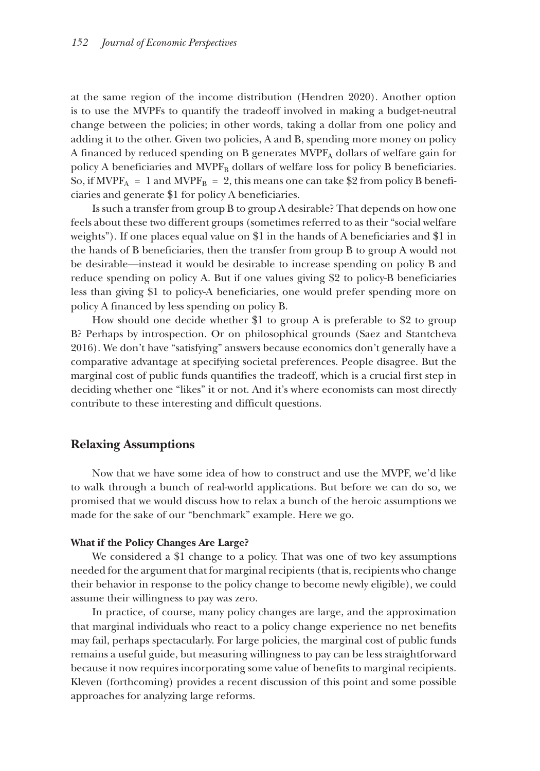at the same region of the income distribution (Hendren 2020). Another option is to use the MVPFs to quantify the tradeoff involved in making a budget-neutral change between the policies; in other words, taking a dollar from one policy and adding it to the other. Given two policies, A and B, spending more money on policy A financed by reduced spending on B generates  $MVP<sub>A</sub>$  dollars of welfare gain for policy A beneficiaries and MVPF<sub>B</sub> dollars of welfare loss for policy B beneficiaries. So, if MVPF<sub>A</sub> = 1 and MVPF<sub>B</sub> = 2, this means one can take \$2 from policy B beneficiaries and generate \$1 for policy A beneficiaries.

Is such a transfer from group B to group A desirable? That depends on how one feels about these two different groups (sometimes referred to as their "social welfare weights"). If one places equal value on \$1 in the hands of A beneficiaries and \$1 in the hands of B beneficiaries, then the transfer from group B to group A would not be desirable—instead it would be desirable to increase spending on policy B and reduce spending on policy A. But if one values giving \$2 to policy-B beneficiaries less than giving \$1 to policy-A beneficiaries, one would prefer spending more on policy A financed by less spending on policy B.

How should one decide whether \$1 to group A is preferable to \$2 to group B? Perhaps by introspection. Or on philosophical grounds (Saez and Stantcheva 2016). We don't have "satisfying" answers because economics don't generally have a comparative advantage at specifying societal preferences. People disagree. But the marginal cost of public funds quantifies the tradeoff, which is a crucial first step in deciding whether one "likes" it or not. And it's where economists can most directly contribute to these interesting and difficult questions.

### **Relaxing Assumptions**

Now that we have some idea of how to construct and use the MVPF, we'd like to walk through a bunch of real-world applications. But before we can do so, we promised that we would discuss how to relax a bunch of the heroic assumptions we made for the sake of our "benchmark" example. Here we go.

### **What if the Policy Changes Are Large?**

We considered a \$1 change to a policy. That was one of two key assumptions needed for the argument that for marginal recipients (that is, recipients who change their behavior in response to the policy change to become newly eligible), we could assume their willingness to pay was zero.

In practice, of course, many policy changes are large, and the approximation that marginal individuals who react to a policy change experience no net benefits may fail, perhaps spectacularly. For large policies, the marginal cost of public funds remains a useful guide, but measuring willingness to pay can be less straightforward because it now requires incorporating some value of benefits to marginal recipients. Kleven (forthcoming) provides a recent discussion of this point and some possible approaches for analyzing large reforms.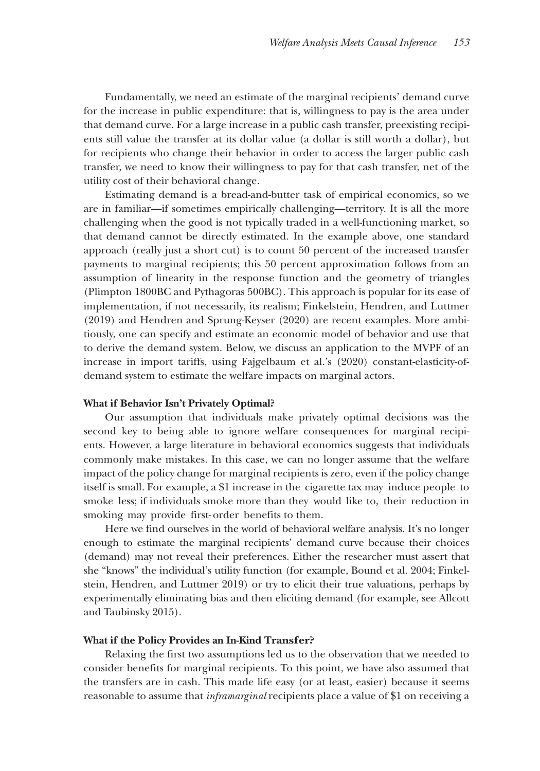Fundamentally, we need an estimate of the marginal recipients' demand curve for the increase in public expenditure: that is, willingness to pay is the area under that demand curve. For a large increase in a public cash transfer, preexisting recipients still value the transfer at its dollar value (a dollar is still worth a dollar), but for recipients who change their behavior in order to access the larger public cash transfer, we need to know their willingness to pay for that cash transfer, net of the utility cost of their behavioral change.

Estimating demand is a bread-and-butter task of empirical economics, so we are in familiar—if sometimes empirically challenging—territory. It is all the more challenging when the good is not typically traded in a well-functioning market, so that demand cannot be directly estimated. In the example above, one standard approach (really just a short cut) is to count 50 percent of the increased transfer payments to marginal recipients; this 50 percent approximation follows from an assumption of linearity in the response function and the geometry of triangles (Plimpton 1800BC and Pythagoras 500BC). This approach is popular for its ease of implementation, if not necessarily, its realism; Finkelstein, Hendren, and Luttmer (2019) and Hendren and Sprung-Keyser (2020) are recent examples. More ambitiously, one can specify and estimate an economic model of behavior and use that to derive the demand system. Below, we discuss an application to the MVPF of an increase in import tariffs, using Fajgelbaum et al.'s (2020) constant-elasticity-ofdemand system to estimate the welfare impacts on marginal actors.

### **What if Behavior Isn't Privately Optimal?**

Our assumption that individuals make privately optimal decisions was the second key to being able to ignore welfare consequences for marginal recipients. However, a large literature in behavioral economics suggests that individuals commonly make mistakes. In this case, we can no longer assume that the welfare impact of the policy change for marginal recipients is zero, even if the policy change itself is small. For example, a \$1 increase in the cigarette tax may induce people to smoke less; if individuals smoke more than they would like to, their reduction in smoking may provide first- order benefits to them.

Here we find ourselves in the world of behavioral welfare analysis. It's no longer enough to estimate the marginal recipients' demand curve because their choices (demand) may not reveal their preferences. Either the researcher must assert that she "knows" the individual's utility function (for example, Bound et al. 2004; Finkelstein, Hendren, and Luttmer 2019) or try to elicit their true valuations, perhaps by experimentally eliminating bias and then eliciting demand (for example, see Allcott and Taubinsky 2015).

#### **What if the Policy Provides an In-Kind Transfer?**

Relaxing the first two assumptions led us to the observation that we needed to consider benefits for marginal recipients. To this point, we have also assumed that the transfers are in cash. This made life easy (or at least, easier) because it seems reasonable to assume that *inframarginal* recipients place a value of \$1 on receiving a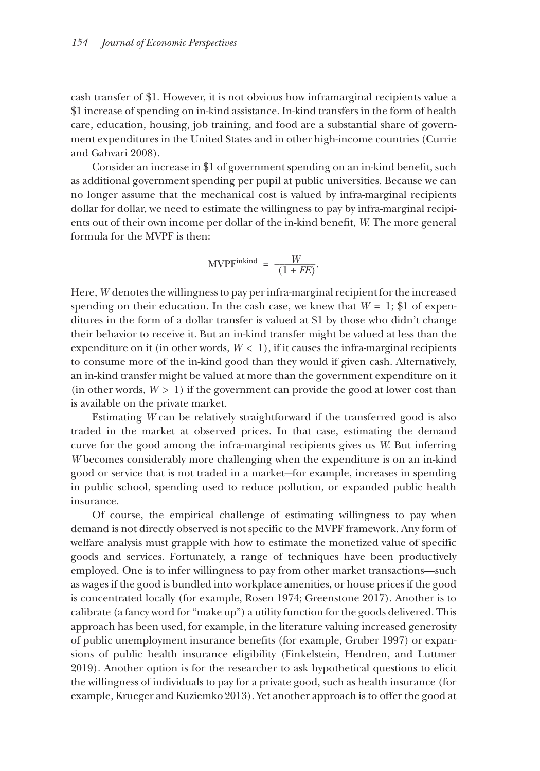cash transfer of \$1. However, it is not obvious how inframarginal recipients value a \$1 increase of spending on in-kind assistance. In-kind transfers in the form of health care, education, housing, job training, and food are a substantial share of government expenditures in the United States and in other high-income countries (Currie and Gahvari 2008).

Consider an increase in \$1 of government spending on an in-kind benefit, such as additional government spending per pupil at public universities. Because we can no longer assume that the mechanical cost is valued by infra-marginal recipients dollar for dollar, we need to estimate the willingness to pay by infra-marginal recipients out of their own income per dollar of the in-kind benefit, *W*. The more general formula for the MVPF is then:

$$
\text{MVPF}^{\text{inkind}} = \frac{W}{(1 + FE)}.
$$

Here, *W* denotes the willingness to pay per infra-marginal recipient for the increased spending on their education. In the cash case, we knew that  $W = 1$ ; \$1 of expenditures in the form of a dollar transfer is valued at \$1 by those who didn't change their behavior to receive it. But an in-kind transfer might be valued at less than the expenditure on it (in other words,  $W < 1$ ), if it causes the infra-marginal recipients to consume more of the in-kind good than they would if given cash. Alternatively, an in-kind transfer might be valued at more than the government expenditure on it (in other words,  $W > 1$ ) if the government can provide the good at lower cost than is available on the private market.

Estimating *W* can be relatively straightforward if the transferred good is also traded in the market at observed prices. In that case, estimating the demand curve for the good among the infra-marginal recipients gives us *W*. But inferring *W* becomes considerably more challenging when the expenditure is on an in-kind good or service that is not traded in a market--for example, increases in spending in public school, spending used to reduce pollution, or expanded public health insurance.

Of course, the empirical challenge of estimating willingness to pay when demand is not directly observed is not specific to the MVPF framework. Any form of welfare analysis must grapple with how to estimate the monetized value of specific goods and services. Fortunately, a range of techniques have been productively employed. One is to infer willingness to pay from other market transactions—such as wages if the good is bundled into workplace amenities, or house prices if the good is concentrated locally (for example, Rosen 1974; Greenstone 2017). Another is to calibrate (a fancy word for "make up") a utility function for the goods delivered. This approach has been used, for example, in the literature valuing increased generosity of public unemployment insurance benefits (for example, Gruber 1997) or expansions of public health insurance eligibility (Finkelstein, Hendren, and Luttmer 2019). Another option is for the researcher to ask hypothetical questions to elicit the willingness of individuals to pay for a private good, such as health insurance (for example, Krueger and Kuziemko 2013). Yet another approach is to offer the good at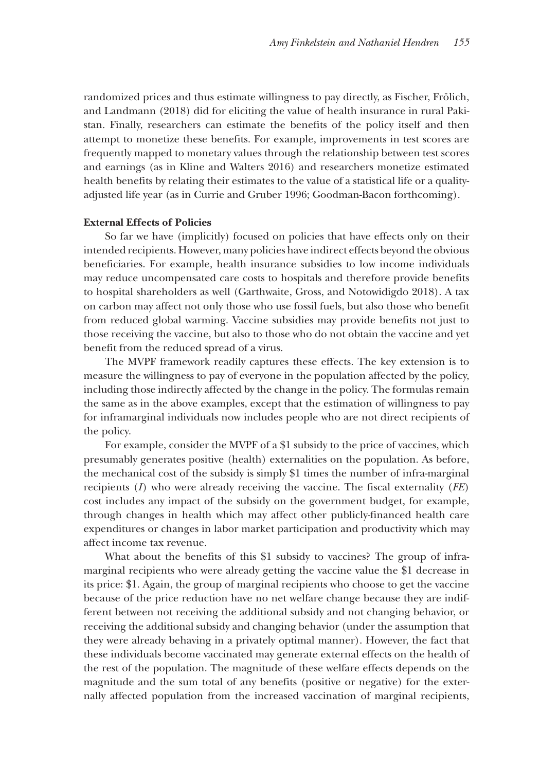randomized prices and thus estimate willingness to pay directly, as Fischer, Frölich, and Landmann (2018) did for eliciting the value of health insurance in rural Pakistan. Finally, researchers can estimate the benefits of the policy itself and then attempt to monetize these benefits. For example, improvements in test scores are frequently mapped to monetary values through the relationship between test scores and earnings (as in Kline and Walters 2016) and researchers monetize estimated health benefits by relating their estimates to the value of a statistical life or a qualityadjusted life year (as in Currie and Gruber 1996; Goodman-Bacon forthcoming).

#### **External Effects of Policies**

So far we have (implicitly) focused on policies that have effects only on their intended recipients. However, many policies have indirect effects beyond the obvious beneficiaries. For example, health insurance subsidies to low income individuals may reduce uncompensated care costs to hospitals and therefore provide benefits to hospital shareholders as well (Garthwaite, Gross, and Notowidigdo 2018). A tax on carbon may affect not only those who use fossil fuels, but also those who benefit from reduced global warming. Vaccine subsidies may provide benefits not just to those receiving the vaccine, but also to those who do not obtain the vaccine and yet benefit from the reduced spread of a virus.

The MVPF framework readily captures these effects. The key extension is to measure the willingness to pay of everyone in the population affected by the policy, including those indirectly affected by the change in the policy. The formulas remain the same as in the above examples, except that the estimation of willingness to pay for inframarginal individuals now includes people who are not direct recipients of the policy.

For example, consider the MVPF of a \$1 subsidy to the price of vaccines, which presumably generates positive (health) externalities on the population. As before, the mechanical cost of the subsidy is simply \$1 times the number of infra-marginal recipients (*I*) who were already receiving the vaccine. The fiscal externality (*FE*) cost includes any impact of the subsidy on the government budget, for example, through changes in health which may affect other publicly-financed health care expenditures or changes in labor market participation and productivity which may affect income tax revenue.

What about the benefits of this \$1 subsidy to vaccines? The group of inframarginal recipients who were already getting the vaccine value the \$1 decrease in its price: \$1. Again, the group of marginal recipients who choose to get the vaccine because of the price reduction have no net welfare change because they are indifferent between not receiving the additional subsidy and not changing behavior, or receiving the additional subsidy and changing behavior (under the assumption that they were already behaving in a privately optimal manner). However, the fact that these individuals become vaccinated may generate external effects on the health of the rest of the population. The magnitude of these welfare effects depends on the magnitude and the sum total of any benefits (positive or negative) for the externally affected population from the increased vaccination of marginal recipients,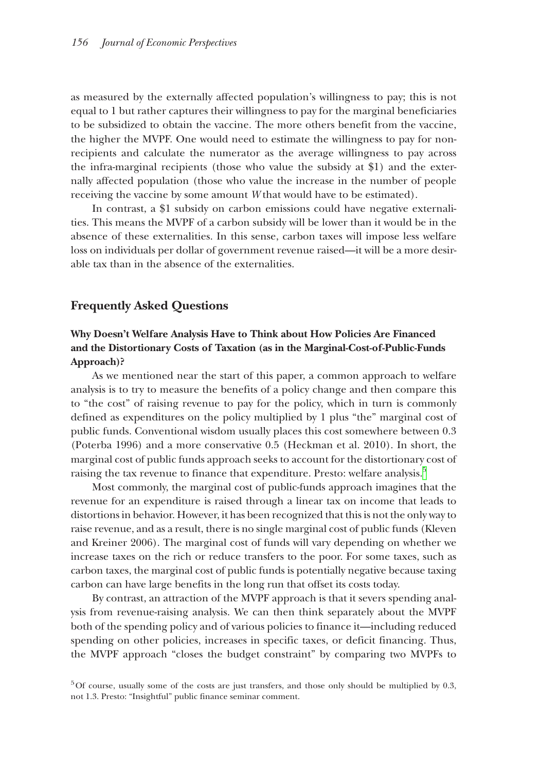as measured by the externally affected population's willingness to pay; this is not equal to 1 but rather captures their willingness to pay for the marginal beneficiaries to be subsidized to obtain the vaccine. The more others benefit from the vaccine, the higher the MVPF. One would need to estimate the willingness to pay for nonrecipients and calculate the numerator as the average willingness to pay across the infra-marginal recipients (those who value the subsidy at \$1) and the externally affected population (those who value the increase in the number of people receiving the vaccine by some amount *W* that would have to be estimated).

In contrast, a \$1 subsidy on carbon emissions could have negative externalities. This means the MVPF of a carbon subsidy will be lower than it would be in the absence of these externalities. In this sense, carbon taxes will impose less welfare loss on individuals per dollar of government revenue raised—it will be a more desirable tax than in the absence of the externalities.

### **Frequently Asked Questions**

### **Why Doesn't Welfare Analysis Have to Think about How Policies Are Financed and the Distortionary Costs of Taxation (as in the Marginal-Cost-of-Public-Funds Approach)?**

As we mentioned near the start of this paper, a common approach to welfare analysis is to try to measure the benefits of a policy change and then compare this to "the cost" of raising revenue to pay for the policy, which in turn is commonly defined as expenditures on the policy multiplied by 1 plus "the" marginal cost of public funds. Conventional wisdom usually places this cost somewhere between 0.3 (Poterba 1996) and a more conservative 0.5 (Heckman et al. 2010). In short, the marginal cost of public funds approach seeks to account for the distortionary cost of raising the tax revenue to finance that expenditure. Presto: welfare analysis.<sup>5</sup>

Most commonly, the marginal cost of public-funds approach imagines that the revenue for an expenditure is raised through a linear tax on income that leads to distortions in behavior. However, it has been recognized that this is not the only way to raise revenue, and as a result, there is no single marginal cost of public funds (Kleven and Kreiner 2006). The marginal cost of funds will vary depending on whether we increase taxes on the rich or reduce transfers to the poor. For some taxes, such as carbon taxes, the marginal cost of public funds is potentially negative because taxing carbon can have large benefits in the long run that offset its costs today.

By contrast, an attraction of the MVPF approach is that it severs spending analysis from revenue-raising analysis. We can then think separately about the MVPF both of the spending policy and of various policies to finance it—including reduced spending on other policies, increases in specific taxes, or deficit financing. Thus, the MVPF approach "closes the budget constraint" by comparing two MVPFs to

<span id="page-10-0"></span> $5$ Of course, usually some of the costs are just transfers, and those only should be multiplied by 0.3, not 1.3. Presto: "Insightful" public finance seminar comment.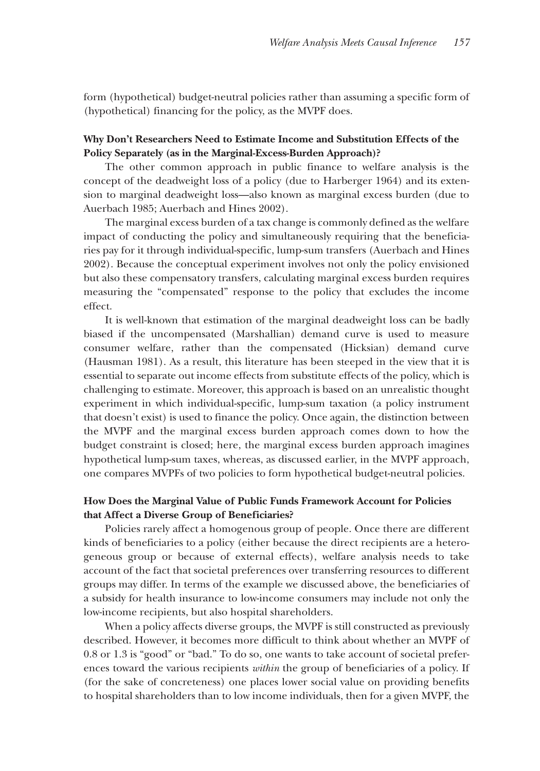form (hypothetical) budget-neutral policies rather than assuming a specific form of (hypothetical) financing for the policy, as the MVPF does.

### **Why Don't Researchers Need to Estimate Income and Substitution Effects of the Policy Separately (as in the Marginal-Excess-Burden Approach)?**

The other common approach in public finance to welfare analysis is the concept of the deadweight loss of a policy (due to Harberger 1964) and its extension to marginal deadweight loss—also known as marginal excess burden (due to Auerbach 1985; Auerbach and Hines 2002).

The marginal excess burden of a tax change is commonly defined as the welfare impact of conducting the policy and simultaneously requiring that the beneficiaries pay for it through individual-specific, lump-sum transfers (Auerbach and Hines 2002). Because the conceptual experiment involves not only the policy envisioned but also these compensatory transfers, calculating marginal excess burden requires measuring the "compensated" response to the policy that excludes the income effect.

It is well-known that estimation of the marginal deadweight loss can be badly biased if the uncompensated (Marshallian) demand curve is used to measure consumer welfare, rather than the compensated (Hicksian) demand curve (Hausman 1981). As a result, this literature has been steeped in the view that it is essential to separate out income effects from substitute effects of the policy, which is challenging to estimate. Moreover, this approach is based on an unrealistic thought experiment in which individual-specific, lump-sum taxation (a policy instrument that doesn't exist) is used to finance the policy. Once again, the distinction between the MVPF and the marginal excess burden approach comes down to how the budget constraint is closed; here, the marginal excess burden approach imagines hypothetical lump-sum taxes, whereas, as discussed earlier, in the MVPF approach, one compares MVPFs of two policies to form hypothetical budget-neutral policies.

### **How Does the Marginal Value of Public Funds Framework Account for Policies that Affect a Diverse Group of Beneficiaries?**

Policies rarely affect a homogenous group of people. Once there are different kinds of beneficiaries to a policy (either because the direct recipients are a heterogeneous group or because of external effects), welfare analysis needs to take account of the fact that societal preferences over transferring resources to different groups may differ. In terms of the example we discussed above, the beneficiaries of a subsidy for health insurance to low-income consumers may include not only the low-income recipients, but also hospital shareholders.

When a policy affects diverse groups, the MVPF is still constructed as previously described. However, it becomes more difficult to think about whether an MVPF of 0.8 or 1.3 is "good" or "bad." To do so, one wants to take account of societal preferences toward the various recipients *within* the group of beneficiaries of a policy. If (for the sake of concreteness) one places lower social value on providing benefits to hospital shareholders than to low income individuals, then for a given MVPF, the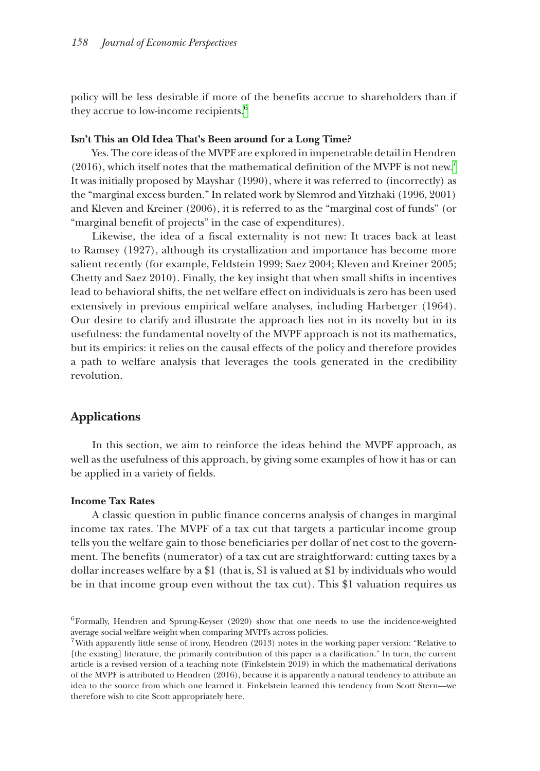policy will be less desirable if more of the benefits accrue to shareholders than if they accrue to low-income recipients.<sup>[6](#page-12-0)</sup>

#### **Isn't This an Old Idea That's Been around for a Long Time?**

Yes. The core ideas of the MVPF are explored in impenetrable detail in Hendren  $(2016)$ , which itself notes that the mathematical definition of the MVPF is not new.<sup>[7](#page-12-1)</sup> It was initially proposed by Mayshar (1990), where it was referred to (incorrectly) as the "marginal excess burden." In related work by Slemrod and Yitzhaki (1996, 2001) and Kleven and Kreiner (2006), it is referred to as the "marginal cost of funds" (or "marginal benefit of projects" in the case of expenditures).

Likewise, the idea of a fiscal externality is not new: It traces back at least to Ramsey (1927), although its crystallization and importance has become more salient recently (for example, Feldstein 1999; Saez 2004; Kleven and Kreiner 2005; Chetty and Saez 2010). Finally, the key insight that when small shifts in incentives lead to behavioral shifts, the net welfare effect on individuals is zero has been used extensively in previous empirical welfare analyses, including Harberger (1964). Our desire to clarify and illustrate the approach lies not in its novelty but in its usefulness: the fundamental novelty of the MVPF approach is not its mathematics, but its empirics: it relies on the causal effects of the policy and therefore provides a path to welfare analysis that leverages the tools generated in the credibility revolution.

### **Applications**

In this section, we aim to reinforce the ideas behind the MVPF approach, as well as the usefulness of this approach, by giving some examples of how it has or can be applied in a variety of fields.

#### **Income Tax Rates**

A classic question in public finance concerns analysis of changes in marginal income tax rates. The MVPF of a tax cut that targets a particular income group tells you the welfare gain to those beneficiaries per dollar of net cost to the government. The benefits (numerator) of a tax cut are straightforward: cutting taxes by a dollar increases welfare by a \$1 (that is, \$1 is valued at \$1 by individuals who would be in that income group even without the tax cut). This \$1 valuation requires us

<span id="page-12-0"></span><sup>6</sup>Formally, Hendren and Sprung-Keyser (2020) show that one needs to use the incidence-weighted average social welfare weight when comparing MVPFs across policies.

<span id="page-12-1"></span><sup>7</sup>With apparently little sense of irony, Hendren (2013) notes in the working paper version: "Relative to [the existing] literature, the primarily contribution of this paper is a clarification." In turn, the current article is a revised version of a teaching note (Finkelstein 2019) in which the mathematical derivations of the MVPF is attributed to Hendren (2016), because it is apparently a natural tendency to attribute an idea to the source from which one learned it. Finkelstein learned this tendency from Scott Stern—we therefore wish to cite Scott appropriately here.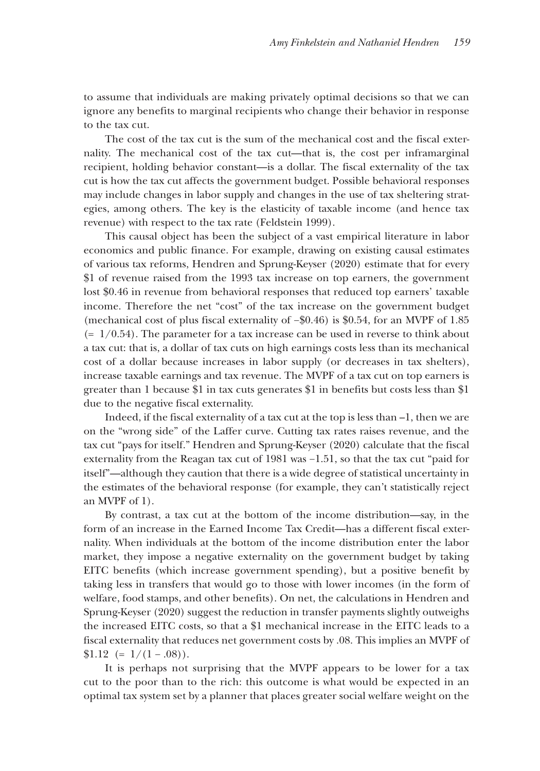to assume that individuals are making privately optimal decisions so that we can ignore any benefits to marginal recipients who change their behavior in response to the tax cut.

The cost of the tax cut is the sum of the mechanical cost and the fiscal externality. The mechanical cost of the tax cut—that is, the cost per inframarginal recipient, holding behavior constant—is a dollar. The fiscal externality of the tax cut is how the tax cut affects the government budget. Possible behavioral responses may include changes in labor supply and changes in the use of tax sheltering strategies, among others. The key is the elasticity of taxable income (and hence tax revenue) with respect to the tax rate (Feldstein 1999).

This causal object has been the subject of a vast empirical literature in labor economics and public finance. For example, drawing on existing causal estimates of various tax reforms, Hendren and Sprung-Keyser (2020) estimate that for every \$1 of revenue raised from the 1993 tax increase on top earners, the government lost \$0.46 in revenue from behavioral responses that reduced top earners' taxable income. Therefore the net "cost" of the tax increase on the government budget (mechanical cost of plus fiscal externality of −\$0.46) is \$0.54, for an MVPF of 1.85  $(= 1/0.54)$ . The parameter for a tax increase can be used in reverse to think about a tax cut: that is, a dollar of tax cuts on high earnings costs less than its mechanical cost of a dollar because increases in labor supply (or decreases in tax shelters), increase taxable earnings and tax revenue. The MVPF of a tax cut on top earners is greater than 1 because \$1 in tax cuts generates \$1 in benefits but costs less than \$1 due to the negative fiscal externality.

Indeed, if the fiscal externality of a tax cut at the top is less than –1, then we are on the "wrong side" of the Laffer curve. Cutting tax rates raises revenue, and the tax cut "pays for itself." Hendren and Sprung-Keyser (2020) calculate that the fiscal externality from the Reagan tax cut of 1981 was −1.51, so that the tax cut "paid for itself"—although they caution that there is a wide degree of statistical uncertainty in the estimates of the behavioral response (for example, they can't statistically reject an MVPF of 1).

By contrast, a tax cut at the bottom of the income distribution—say, in the form of an increase in the Earned Income Tax Credit—has a different fiscal externality. When individuals at the bottom of the income distribution enter the labor market, they impose a negative externality on the government budget by taking EITC benefits (which increase government spending), but a positive benefit by taking less in transfers that would go to those with lower incomes (in the form of welfare, food stamps, and other benefits). On net, the calculations in Hendren and Sprung-Keyser (2020) suggest the reduction in transfer payments slightly outweighs the increased EITC costs, so that a \$1 mechanical increase in the EITC leads to a fiscal externality that reduces net government costs by .08. This implies an MVPF of  $$1.12 \left(=1/(1-.08)\right).$ 

It is perhaps not surprising that the MVPF appears to be lower for a tax cut to the poor than to the rich: this outcome is what would be expected in an optimal tax system set by a planner that places greater social welfare weight on the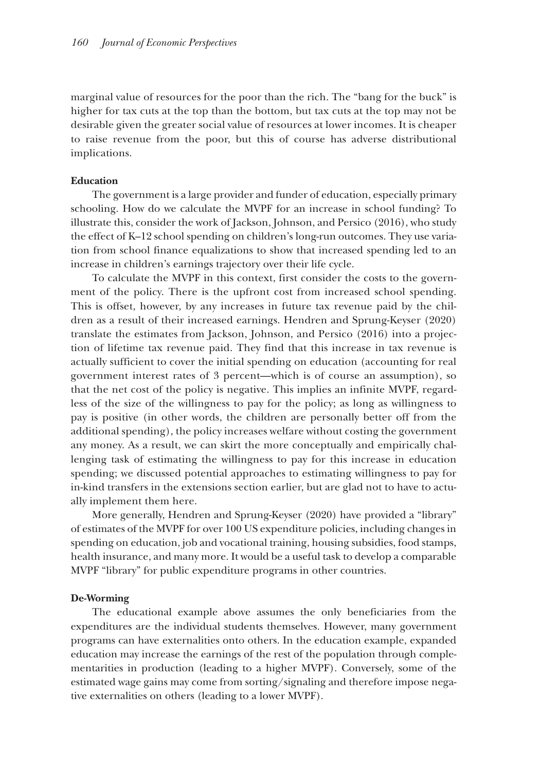marginal value of resources for the poor than the rich. The "bang for the buck" is higher for tax cuts at the top than the bottom, but tax cuts at the top may not be desirable given the greater social value of resources at lower incomes. It is cheaper to raise revenue from the poor, but this of course has adverse distributional implications.

#### **Education**

The government is a large provider and funder of education, especially primary schooling. How do we calculate the MVPF for an increase in school funding? To illustrate this, consider the work of Jackson, Johnson, and Persico (2016), who study the effect of K–12 school spending on children's long-run outcomes. They use variation from school finance equalizations to show that increased spending led to an increase in children's earnings trajectory over their life cycle.

To calculate the MVPF in this context, first consider the costs to the government of the policy. There is the upfront cost from increased school spending. This is offset, however, by any increases in future tax revenue paid by the children as a result of their increased earnings. Hendren and Sprung-Keyser (2020) translate the estimates from Jackson, Johnson, and Persico (2016) into a projection of lifetime tax revenue paid. They find that this increase in tax revenue is actually sufficient to cover the initial spending on education (accounting for real government interest rates of 3 percent—which is of course an assumption), so that the net cost of the policy is negative. This implies an infinite MVPF, regardless of the size of the willingness to pay for the policy; as long as willingness to pay is positive (in other words, the children are personally better off from the additional spending), the policy increases welfare without costing the government any money. As a result, we can skirt the more conceptually and empirically challenging task of estimating the willingness to pay for this increase in education spending; we discussed potential approaches to estimating willingness to pay for in-kind transfers in the extensions section earlier, but are glad not to have to actually implement them here.

More generally, Hendren and Sprung-Keyser (2020) have provided a "library" of estimates of the MVPF for over 100 US expenditure policies, including changes in spending on education, job and vocational training, housing subsidies, food stamps, health insurance, and many more. It would be a useful task to develop a comparable MVPF "library" for public expenditure programs in other countries.

#### **De-Worming**

The educational example above assumes the only beneficiaries from the expenditures are the individual students themselves. However, many government programs can have externalities onto others. In the education example, expanded education may increase the earnings of the rest of the population through complementarities in production (leading to a higher MVPF). Conversely, some of the estimated wage gains may come from sorting/signaling and therefore impose negative externalities on others (leading to a lower MVPF).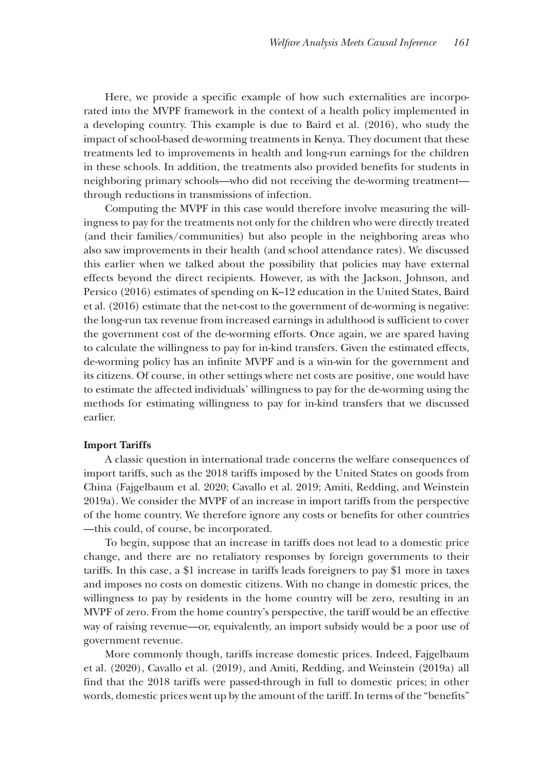Here, we provide a specific example of how such externalities are incorporated into the MVPF framework in the context of a health policy implemented in a developing country. This example is due to Baird et al. (2016), who study the impact of school-based de-worming treatments in Kenya. They document that these treatments led to improvements in health and long-run earnings for the children in these schools. In addition, the treatments also provided benefits for students in neighboring primary schools—who did not receiving the de-worming treatment through reductions in transmissions of infection.

Computing the MVPF in this case would therefore involve measuring the willingness to pay for the treatments not only for the children who were directly treated (and their families/communities) but also people in the neighboring areas who also saw improvements in their health (and school attendance rates). We discussed this earlier when we talked about the possibility that policies may have external effects beyond the direct recipients. However, as with the Jackson, Johnson, and Persico (2016) estimates of spending on K–12 education in the United States, Baird et al. (2016) estimate that the net-cost to the government of de-worming is negative: the long-run tax revenue from increased earnings in adulthood is sufficient to cover the government cost of the de-worming efforts. Once again, we are spared having to calculate the willingness to pay for in-kind transfers. Given the estimated effects, de-worming policy has an infinite MVPF and is a win-win for the government and its citizens. Of course, in other settings where net costs are positive, one would have to estimate the affected individuals' willingness to pay for the de-worming using the methods for estimating willingness to pay for in-kind transfers that we discussed earlier.

### **Import Tariffs**

A classic question in international trade concerns the welfare consequences of import tariffs, such as the 2018 tariffs imposed by the United States on goods from China (Fajgelbaum et al. 2020; Cavallo et al. 2019; Amiti, Redding, and Weinstein 2019a). We consider the MVPF of an increase in import tariffs from the perspective of the home country. We therefore ignore any costs or benefits for other countries ––this could, of course, be incorporated.

To begin, suppose that an increase in tariffs does not lead to a domestic price change, and there are no retaliatory responses by foreign governments to their tariffs. In this case, a \$1 increase in tariffs leads foreigners to pay \$1 more in taxes and imposes no costs on domestic citizens. With no change in domestic prices, the willingness to pay by residents in the home country will be zero, resulting in an MVPF of zero. From the home country's perspective, the tariff would be an effective way of raising revenue—or, equivalently, an import subsidy would be a poor use of government revenue.

More commonly though, tariffs increase domestic prices. Indeed, Fajgelbaum et al. (2020), Cavallo et al. (2019), and Amiti, Redding, and Weinstein (2019a) all find that the 2018 tariffs were passed-through in full to domestic prices; in other words, domestic prices went up by the amount of the tariff. In terms of the "benefits"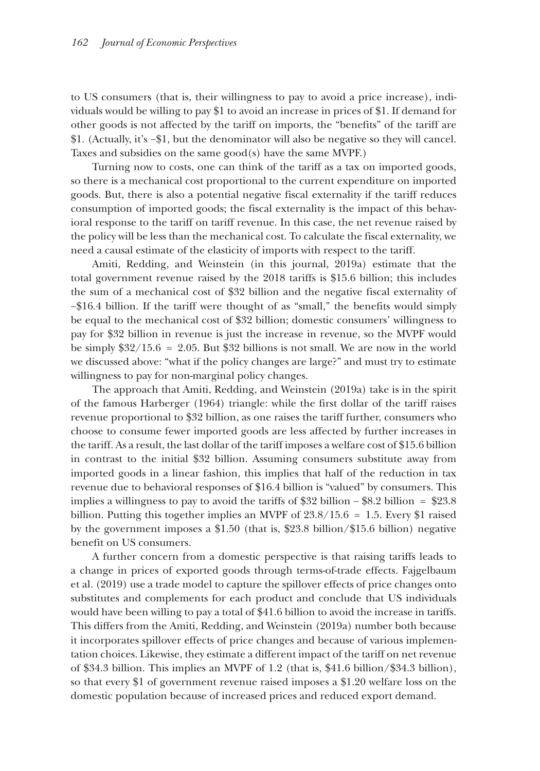to US consumers (that is, their willingness to pay to avoid a price increase), individuals would be willing to pay \$1 to avoid an increase in prices of \$1. If demand for other goods is not affected by the tariff on imports, the "benefits" of the tariff are \$1. (Actually, it's −\$1, but the denominator will also be negative so they will cancel. Taxes and subsidies on the same good(s) have the same MVPF.)

Turning now to costs, one can think of the tariff as a tax on imported goods, so there is a mechanical cost proportional to the current expenditure on imported goods. But, there is also a potential negative fiscal externality if the tariff reduces consumption of imported goods; the fiscal externality is the impact of this behavioral response to the tariff on tariff revenue. In this case, the net revenue raised by the policy will be less than the mechanical cost. To calculate the fiscal externality, we need a causal estimate of the elasticity of imports with respect to the tariff.

Amiti, Redding, and Weinstein (in this journal, 2019a) estimate that the total government revenue raised by the 2018 tariffs is \$15.6 billion; this includes the sum of a mechanical cost of \$32 billion and the negative fiscal externality of −\$16.4 billion. If the tariff were thought of as "small," the benefits would simply be equal to the mechanical cost of \$32 billion; domestic consumers' willingness to pay for \$32 billion in revenue is just the increase in revenue, so the MVPF would be simply  $$32/15.6 = 2.05$ . But \$32 billions is not small. We are now in the world we discussed above: "what if the policy changes are large?" and must try to estimate willingness to pay for non-marginal policy changes.

The approach that Amiti, Redding, and Weinstein (2019a) take is in the spirit of the famous Harberger (1964) triangle: while the first dollar of the tariff raises revenue proportional to \$32 billion, as one raises the tariff further, consumers who choose to consume fewer imported goods are less affected by further increases in the tariff. As a result, the last dollar of the tariff imposes a welfare cost of \$15.6 billion in contrast to the initial \$32 billion. Assuming consumers substitute away from imported goods in a linear fashion, this implies that half of the reduction in tax revenue due to behavioral responses of \$16.4 billion is "valued" by consumers. This implies a willingness to pay to avoid the tariffs of \$32 billion – \$8.2 billion = \$23.8 billion. Putting this together implies an MVPF of  $23.8/15.6 = 1.5$ . Every \$1 raised by the government imposes a \$1.50 (that is, \$23.8 billion/\$15.6 billion) negative benefit on US consumers.

A further concern from a domestic perspective is that raising tariffs leads to a change in prices of exported goods through terms-of-trade effects. Fajgelbaum et al. (2019) use a trade model to capture the spillover effects of price changes onto substitutes and complements for each product and conclude that US individuals would have been willing to pay a total of \$41.6 billion to avoid the increase in tariffs. This differs from the Amiti, Redding, and Weinstein (2019a) number both because it incorporates spillover effects of price changes and because of various implementation choices. Likewise, they estimate a different impact of the tariff on net revenue of \$34.3 billion. This implies an MVPF of 1.2 (that is, \$41.6 billion/\$34.3 billion), so that every \$1 of government revenue raised imposes a \$1.20 welfare loss on the domestic population because of increased prices and reduced export demand.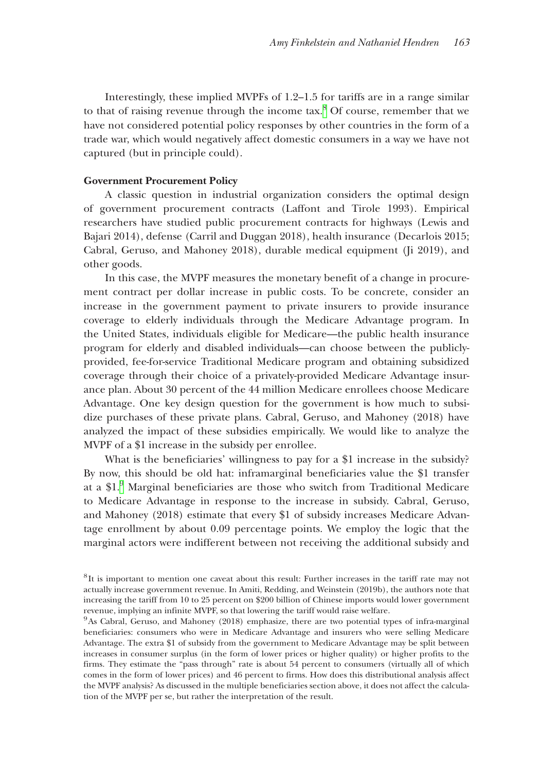Interestingly, these implied MVPFs of 1.2–1.5 for tariffs are in a range similar to that of raising revenue through the income  $tax$ .<sup>8</sup> Of course, remember that we have not considered potential policy responses by other countries in the form of a trade war, which would negatively affect domestic consumers in a way we have not captured (but in principle could).

### **Government Procurement Policy**

A classic question in industrial organization considers the optimal design of government procurement contracts (Laffont and Tirole 1993). Empirical researchers have studied public procurement contracts for highways (Lewis and Bajari 2014), defense (Carril and Duggan 2018), health insurance (Decarlois 2015; Cabral, Geruso, and Mahoney 2018), durable medical equipment (Ji 2019), and other goods.

In this case, the MVPF measures the monetary benefit of a change in procurement contract per dollar increase in public costs. To be concrete, consider an increase in the government payment to private insurers to provide insurance coverage to elderly individuals through the Medicare Advantage program. In the United States, individuals eligible for Medicare—the public health insurance program for elderly and disabled individuals—can choose between the publiclyprovided, fee-for-service Traditional Medicare program and obtaining subsidized coverage through their choice of a privately-provided Medicare Advantage insurance plan. About 30 percent of the 44 million Medicare enrollees choose Medicare Advantage. One key design question for the government is how much to subsidize purchases of these private plans. Cabral, Geruso, and Mahoney (2018) have analyzed the impact of these subsidies empirically. We would like to analyze the MVPF of a \$1 increase in the subsidy per enrollee.

What is the beneficiaries' willingness to pay for a \$1 increase in the subsidy? By now, this should be old hat: inframarginal beneficiaries value the \$1 transfer at a \$1.[9](#page-17-1) Marginal beneficiaries are those who switch from Traditional Medicare to Medicare Advantage in response to the increase in subsidy. Cabral, Geruso, and Mahoney (2018) estimate that every \$1 of subsidy increases Medicare Advantage enrollment by about 0.09 percentage points. We employ the logic that the marginal actors were indifferent between not receiving the additional subsidy and

<span id="page-17-0"></span><sup>8</sup>It is important to mention one caveat about this result: Further increases in the tariff rate may not actually increase government revenue. In Amiti, Redding, and Weinstein (2019b), the authors note that increasing the tariff from 10 to 25 percent on \$200 billion of Chinese imports would lower government revenue, implying an infinite MVPF, so that lowering the tariff would raise welfare.

<span id="page-17-1"></span><sup>&</sup>lt;sup>9</sup>As Cabral, Geruso, and Mahoney (2018) emphasize, there are two potential types of infra-marginal beneficiaries: consumers who were in Medicare Advantage and insurers who were selling Medicare Advantage. The extra \$1 of subsidy from the government to Medicare Advantage may be split between increases in consumer surplus (in the form of lower prices or higher quality) or higher profits to the firms. They estimate the "pass through" rate is about 54 percent to consumers (virtually all of which comes in the form of lower prices) and 46 percent to firms. How does this distributional analysis affect the MVPF analysis? As discussed in the multiple beneficiaries section above, it does not affect the calculation of the MVPF per se, but rather the interpretation of the result.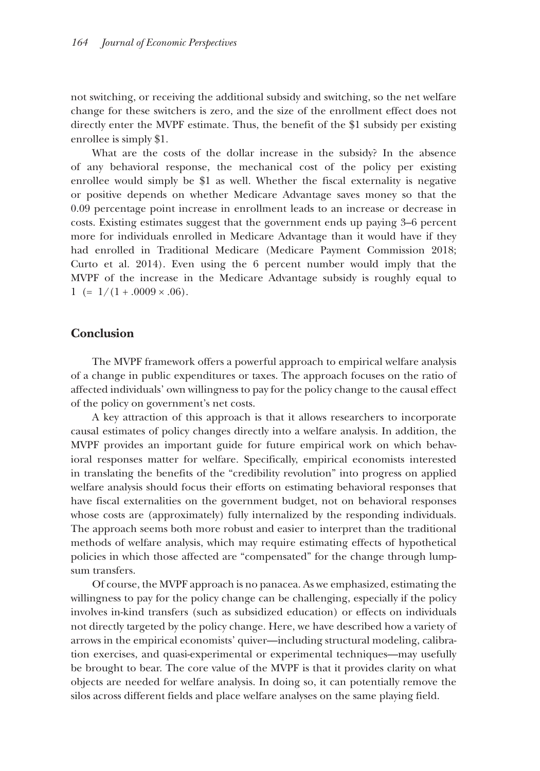not switching, or receiving the additional subsidy and switching, so the net welfare change for these switchers is zero, and the size of the enrollment effect does not directly enter the MVPF estimate. Thus, the benefit of the \$1 subsidy per existing enrollee is simply \$1.

What are the costs of the dollar increase in the subsidy? In the absence of any behavioral response, the mechanical cost of the policy per existing enrollee would simply be \$1 as well. Whether the fiscal externality is negative or positive depends on whether Medicare Advantage saves money so that the 0.09 percentage point increase in enrollment leads to an increase or decrease in costs. Existing estimates suggest that the government ends up paying 3–6 percent more for individuals enrolled in Medicare Advantage than it would have if they had enrolled in Traditional Medicare (Medicare Payment Commission 2018; Curto et al. 2014). Even using the 6 percent number would imply that the MVPF of the increase in the Medicare Advantage subsidy is roughly equal to  $1 (= 1/(1+.0009 \times .06).$ 

### **Conclusion**

The MVPF framework offers a powerful approach to empirical welfare analysis of a change in public expenditures or taxes. The approach focuses on the ratio of affected individuals' own willingness to pay for the policy change to the causal effect of the policy on government's net costs.

A key attraction of this approach is that it allows researchers to incorporate causal estimates of policy changes directly into a welfare analysis. In addition, the MVPF provides an important guide for future empirical work on which behavioral responses matter for welfare. Specifically, empirical economists interested in translating the benefits of the "credibility revolution" into progress on applied welfare analysis should focus their efforts on estimating behavioral responses that have fiscal externalities on the government budget, not on behavioral responses whose costs are (approximately) fully internalized by the responding individuals. The approach seems both more robust and easier to interpret than the traditional methods of welfare analysis, which may require estimating effects of hypothetical policies in which those affected are "compensated" for the change through lumpsum transfers.

Of course, the MVPF approach is no panacea. As we emphasized, estimating the willingness to pay for the policy change can be challenging, especially if the policy involves in-kind transfers (such as subsidized education) or effects on individuals not directly targeted by the policy change. Here, we have described how a variety of arrows in the empirical economists' quiver—including structural modeling, calibration exercises, and quasi-experimental or experimental techniques—may usefully be brought to bear. The core value of the MVPF is that it provides clarity on what objects are needed for welfare analysis. In doing so, it can potentially remove the silos across different fields and place welfare analyses on the same playing field.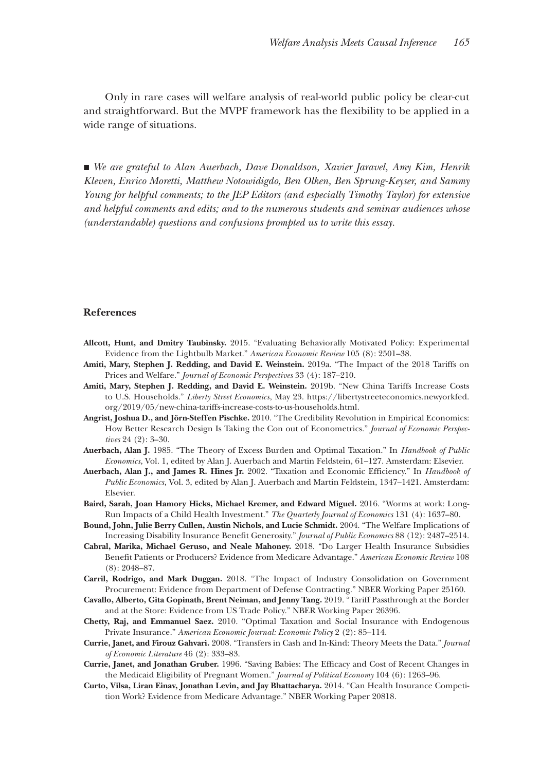Only in rare cases will welfare analysis of real-world public policy be clear-cut and straightforward. But the MVPF framework has the flexibility to be applied in a wide range of situations.

■ *We are grateful to Alan Auerbach, Dave Donaldson, Xavier Jaravel, Amy Kim, Henrik Kleven, Enrico Moretti, Matthew Notowidigdo, Ben Olken, Ben Sprung-Keyser, and Sammy Young for helpful comments; to the JEP Editors (and especially Timothy Taylor) for extensive and helpful comments and edits; and to the numerous students and seminar audiences whose (understandable) questions and confusions prompted us to write this essay.*

#### **References**

- **Allcott, Hunt, and Dmitry Taubinsky.** 2015. "Evaluating Behaviorally Motivated Policy: Experimental Evidence from the Lightbulb Market." *American Economic Review* 105 (8): 2501–38.
- **Amiti, Mary, Stephen J. Redding, and David E. Weinstein.** 2019a. "The Impact of the 2018 Tariffs on Prices and Welfare." *Journal of Economic Perspectives* 33 (4): 187–210.
- **Amiti, Mary, Stephen J. Redding, and David E. Weinstein.** 2019b. "New China Tariffs Increase Costs to U.S. Households." *Liberty Street Economics*, May 23. [https://libertystreeteconomics.newyorkfed.](https://libertystreeteconomics.newyorkfed.org/2019/05/new-china-tariffs-increase-costs-to-us-households.html) [org/2019/05/new-china-tariffs-increase-costs-to-us-households.html](https://libertystreeteconomics.newyorkfed.org/2019/05/new-china-tariffs-increase-costs-to-us-households.html).
- **Angrist, Joshua D., and Jörn-Steffen Pischke.** 2010. "The Credibility Revolution in Empirical Economics: How Better Research Design Is Taking the Con out of Econometrics." *Journal of Economic Perspectives* 24 (2): 3–30.
- **Auerbach, Alan J.** 1985. "The Theory of Excess Burden and Optimal Taxation." In *Handbook of Public Economics*, Vol. 1, edited by Alan J. Auerbach and Martin Feldstein, 61–127. Amsterdam: Elsevier.
- **Auerbach, Alan J., and James R. Hines Jr.** 2002. "Taxation and Economic Efficiency." In *Handbook of Public Economics*, Vol. 3, edited by Alan J. Auerbach and Martin Feldstein, 1347–1421. Amsterdam: Elsevier.
- **Baird, Sarah, Joan Hamory Hicks, Michael Kremer, and Edward Miguel.** 2016. "Worms at work: Long-Run Impacts of a Child Health Investment." *The Quarterly Journal of Economics* 131 (4): 1637–80.
- **Bound, John, Julie Berry Cullen, Austin Nichols, and Lucie Schmidt.** 2004. "The Welfare Implications of Increasing Disability Insurance Benefit Generosity." *Journal of Public Economics* 88 (12): 2487–2514.
- **Cabral, Marika, Michael Geruso, and Neale Mahoney.** 2018. "Do Larger Health Insurance Subsidies Benefit Patients or Producers? Evidence from Medicare Advantage." *American Economic Review* 108 (8): 2048–87.
- **Carril, Rodrigo, and Mark Duggan.** 2018. "The Impact of Industry Consolidation on Government Procurement: Evidence from Department of Defense Contracting." NBER Working Paper 25160.
- **Cavallo, Alberto, Gita Gopinath, Brent Neiman, and Jenny Tang.** 2019. "Tariff Passthrough at the Border and at the Store: Evidence from US Trade Policy." NBER Working Paper 26396.
- **Chetty, Raj, and Emmanuel Saez.** 2010. "Optimal Taxation and Social Insurance with Endogenous Private Insurance." *American Economic Journal: Economic Policy* 2 (2): 85–114.
- **Currie, Janet, and Firouz Gahvari.** 2008. "Transfers in Cash and In-Kind: Theory Meets the Data." *Journal of Economic Literature* 46 (2): 333–83.
- **Currie, Janet, and Jonathan Gruber.** 1996. "Saving Babies: The Efficacy and Cost of Recent Changes in the Medicaid Eligibility of Pregnant Women." *Journal of Political Economy* 104 (6): 1263–96.
- **Curto, Vilsa, Liran Einav, Jonathan Levin, and Jay Bhattacharya.** 2014. "Can Health Insurance Competition Work? Evidence from Medicare Advantage." NBER Working Paper 20818.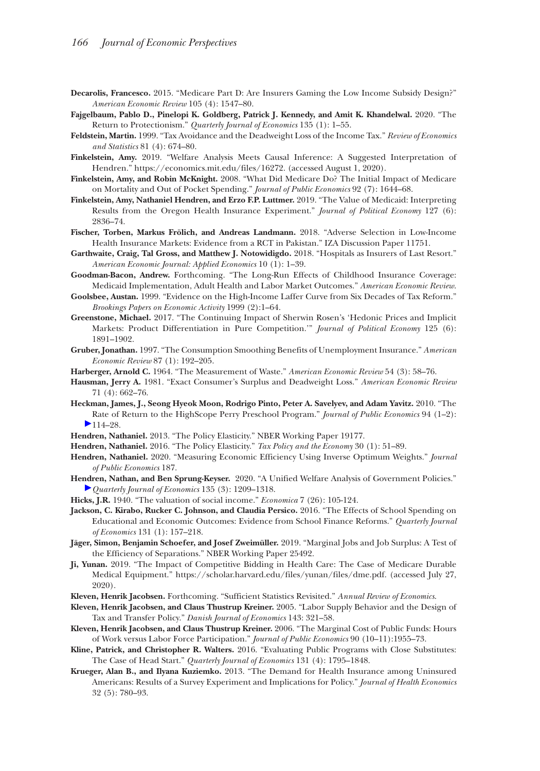- **Decarolis, Francesco.** 2015. "Medicare Part D: Are Insurers Gaming the Low Income Subsidy Design?" *American Economic Review* 105 (4): 1547–80.
- **Fajgelbaum, Pablo D., Pinelopi K. Goldberg, Patrick J. Kennedy, and Amit K. Khandelwal.** 2020. "The Return to Protectionism." *Quarterly Journal of Economics* 135 (1): 1–55.
- **Feldstein, Martin.** 1999. "Tax Avoidance and the Deadweight Loss of the Income Tax." *Review of Economics and Statistics* 81 (4): 674–80.
- **Finkelstein, Amy.** 2019. "Welfare Analysis Meets Causal Inference: A Suggested Interpretation of Hendren."<https://economics.mit.edu/files/16272>. (accessed August 1, 2020).
- **Finkelstein, Amy, and Robin McKnight.** 2008. "What Did Medicare Do? The Initial Impact of Medicare on Mortality and Out of Pocket Spending." *Journal of Public Economics* 92 (7): 1644–68.
- **Finkelstein, Amy, Nathaniel Hendren, and Erzo F.P. Luttmer.** 2019. "The Value of Medicaid: Interpreting Results from the Oregon Health Insurance Experiment." *Journal of Political Economy* 127 (6): 2836–74.
- **Fischer, Torben, Markus Frölich, and Andreas Landmann.** 2018. "Adverse Selection in Low-Income Health Insurance Markets: Evidence from a RCT in Pakistan." IZA Discussion Paper 11751.
- **Garthwaite, Craig, Tal Gross, and Matthew J. Notowidigdo.** 2018. "Hospitals as Insurers of Last Resort." *American Economic Journal: Applied Economics* 10 (1): 1–39.
- **Goodman-Bacon, Andrew.** Forthcoming. "The Long-Run Effects of Childhood Insurance Coverage: Medicaid Implementation, Adult Health and Labor Market Outcomes." *American Economic Review*.
- **Goolsbee, Austan.** 1999. "Evidence on the High-Income Laffer Curve from Six Decades of Tax Reform." *Brookings Papers on Economic Activity* 1999 (2):1–64.
- **Greenstone, Michael.** 2017. "The Continuing Impact of Sherwin Rosen's 'Hedonic Prices and Implicit Markets: Product Differentiation in Pure Competition.'" *Journal of Political Economy* 125 (6): 1891–1902.
- **Gruber, Jonathan.** 1997. "The Consumption Smoothing Benefits of Unemployment Insurance." *American Economic Review* 87 (1): 192–205.

**Harberger, Arnold C.** 1964. "The Measurement of Waste." *American Economic Review* 54 (3): 58–76.

- **Hausman, Jerry A.** 1981. "Exact Consumer's Surplus and Deadweight Loss." *American Economic Review* 71 (4): 662–76.
- **Heckman, James, J., Seong Hyeok Moon, Rodrigo Pinto, Peter A. Savelyev, and Adam Yavitz.** 2010. "The Rate of Return to the HighScope Perry Preschool Program." *Journal of Public Economics* 94 (1–2):  $\blacktriangleright$  [1](http://pubs.aeaweb.org/action/showLinks?crossref=10.1086%2F685593&citationId=p_37)14–28.

**Hendren, Nathaniel.** 2013. "The Policy Elasticity." NBER Working Paper 19177.

- **Hendren, Nathaniel.** 2016. "The Policy Elasticity." *Tax Policy and the Economy* 30 (1): 51–89.
- **Hendren, Nathaniel.** 2020. "Measuring Economic Efficiency Using Inverse Optimum Weights." *Journal of Public Economics* 187.
- **Hendren, Nathan, and Ben Sprung-Keyser.** 2020. "A Unified Welfare Analysis of Government Policies." *[Q](http://pubs.aeaweb.org/action/showLinks?crossref=10.2307%2F2548691&citationId=p_39)uarterly Journal of Economics* 135 (3): 1209–1318.
- **Hicks, J.R.** 1940. "The valuation of social income." *Economica* 7 (26): 105-124.
- **Jackson, C. Kirabo, Rucker C. Johnson, and Claudia Persico.** 2016. "The Effects of School Spending on Educational and Economic Outcomes: Evidence from School Finance Reforms." *Quarterly Journal of Economics* 131 (1): 157–218.
- **Jäger, Simon, Benjamin Schoefer, and Josef Zweimüller.** 2019. "Marginal Jobs and Job Surplus: A Test of the Efficiency of Separations." NBER Working Paper 25492.
- **Ji, Yunan.** 2019. "The Impact of Competitive Bidding in Health Care: The Case of Medicare Durable Medical Equipment." [https://scholar.harvard.edu/files/yunan/files/dme.pdf.](https://scholar.harvard.edu/files/yunan/files/dme.pdf) (accessed July 27, 2020).
- **Kleven, Henrik Jacobsen.** Forthcoming. "Sufficient Statistics Revisited." *Annual Review of Economics*.
- **Kleven, Henrik Jacobsen, and Claus Thustrup Kreiner.** 2005. "Labor Supply Behavior and the Design of Tax and Transfer Policy." *Danish Journal of Economics* 143: 321–58.
- **Kleven, Henrik Jacobsen, and Claus Thustrup Kreiner.** 2006. "The Marginal Cost of Public Funds: Hours of Work versus Labor Force Participation." *Journal of Public Economics* 90 (10–11):1955–73.
- **Kline, Patrick, and Christopher R. Walters.** 2016. "Evaluating Public Programs with Close Substitutes: The Case of Head Start." *Quarterly Journal of Economics* 131 (4): 1795–1848.
- **Krueger, Alan B., and Ilyana Kuziemko.** 2013. "The Demand for Health Insurance among Uninsured Americans: Results of a Survey Experiment and Implications for Policy." *Journal of Health Economics* 32 (5): 780–93.